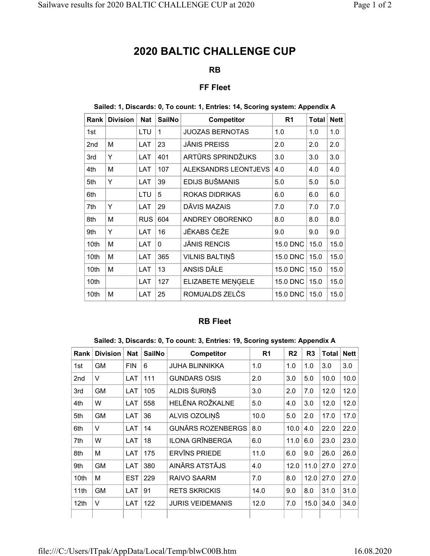# 2020 BALTIC CHALLENGE CUP

## RB

## FF Fleet

### Sailed: 1, Discards: 0, To count: 1, Entries: 14, Scoring system: Appendix A

| Rank            | <b>Division</b> | <b>Nat</b> | <b>SailNo</b> | <b>Competitor</b>      | R <sub>1</sub>  | <b>Total</b> | <b>Nett</b> |
|-----------------|-----------------|------------|---------------|------------------------|-----------------|--------------|-------------|
| 1st             |                 | LTU        | 1             | <b>JUOZAS BERNOTAS</b> | 1.0             | 1.0          | 1.0         |
| 2 <sub>nd</sub> | М               | LAT        | 23            | JĀNIS PREISS           | 2.0             | 2.0          | 2.0         |
| 3rd             | Υ               | LAT        | 401           | ARTŪRS SPRINDŽUKS      | 3.0             | 3.0          | 3.0         |
| 4th             | М               | LAT        | 107           | ALEKSANDRS LEONTJEVS   | 4.0             | 4.0          | 4.0         |
| 5th             | Y               | LAT        | 39            | EDIJS BUŠMANIS         | 5.0             | 5.0          | 5.0         |
| 6th             |                 | LTU        | 5             | ROKAS DIDRIKAS         | 6.0             | 6.0          | 6.0         |
| 7th             | Y               | LAT        | 29            | DĀVIS MAZAIS           | 7.0             | 7.0          | 7.0         |
| 8th             | М               | <b>RUS</b> | 604           | ANDREY OBORENKO        | 8.0             | 8.0          | 8.0         |
| 9th             | Y               | LAT        | 16            | JĒKABS ČEŽE            | 9.0             | 9.0          | 9.0         |
| 10th            | М               | LAT        | $\Omega$      | JĀNIS RENCIS           | 15.0 DNC        | 15.0         | 15.0        |
| 10th            | М               | LAT        | 365           | VILNIS BALTIŅŠ         | <b>15.0 DNC</b> | 15.0         | 15.0        |
| 10th            | М               | LAT        | 13            | ANSIS DĀLE             | 15.0 DNC        | 15.0         | 15.0        |
| 10th            |                 | LAT        | 127           | ELIZABETE MENGELE      | <b>15.0 DNC</b> | 15.0         | 15.0        |
| 10th            | М               | LAT        | 25            | ROMUALDS ZELCS         | <b>15.0 DNC</b> | 15.0         | 15.0        |

### RB Fleet

#### Sailed: 3, Discards: 0, To count: 3, Entries: 19, Scoring system: Appendix A

| Rank             | <b>Division</b> | <b>Nat</b> | <b>SailNo</b> | <b>Competitor</b>        | R <sub>1</sub> | R <sub>2</sub> | R <sub>3</sub> | <b>Total</b> | <b>Nett</b> |
|------------------|-----------------|------------|---------------|--------------------------|----------------|----------------|----------------|--------------|-------------|
| 1st              | <b>GM</b>       | <b>FIN</b> | 6             | <b>JUHA BLINNIKKA</b>    | 1.0            | 1.0            | 1.0            | 3.0          | 3.0         |
| 2nd              | $\vee$          | LAT        | 111           | <b>GUNDARS OSIS</b>      | 2.0            | 3.0            | 5.0            | 10.0         | 10.0        |
| 3rd              | <b>GM</b>       | LAT        | 105           | ALDIS ŠURINŠ             | 3.0            | 2.0            | 7.0            | 12.0         | 12.0        |
| 4th              | W               | LAT        | 558           | <b>HELĒNA ROŽKALNE</b>   | 5.0            | 4.0            | 3.0            | 12.0         | 12.0        |
| 5th              | <b>GM</b>       | LAT        | 36            | ALVIS OZOLINŠ            | 10.0           | 5.0            | 2.0            | 17.0         | 17.0        |
| 6th              | $\vee$          | LAT        | 14            | <b>GUNĀRS ROZENBERGS</b> | 8.0            | 10.0           | 4.0            | 22.0         | 22.0        |
| 7th              | W               | LAT        | 18            | <b>ILONA GRĪNBERGA</b>   | 6.0            | 11.0           | 6.0            | 23.0         | 23.0        |
| 8th              | M               | LAT        | 175           | <b>ERVINS PRIEDE</b>     | 11.0           | 6.0            | 9.0            | 26.0         | 26.0        |
| 9th              | <b>GM</b>       | LAT        | 380           | AINĀRS ATSTĀJS           | 4.0            | 12.0           | 11.0           | 27.0         | 27.0        |
| 10th             | M               | <b>EST</b> | 229           | <b>RAIVO SAARM</b>       | 7.0            | 8.0            | 12.0           | 27.0         | 27.0        |
| 11th             | <b>GM</b>       | LAT        | 91            | <b>RETS SKRICKIS</b>     | 14.0           | 9.0            | 8.0            | 31.0         | 31.0        |
| 12 <sub>th</sub> | $\vee$          | LAT        | 122           | <b>JURIS VEIDEMANIS</b>  | 12.0           | 7.0            | 15.0           | 34.0         | 34.0        |
|                  |                 |            |               |                          |                |                |                |              |             |